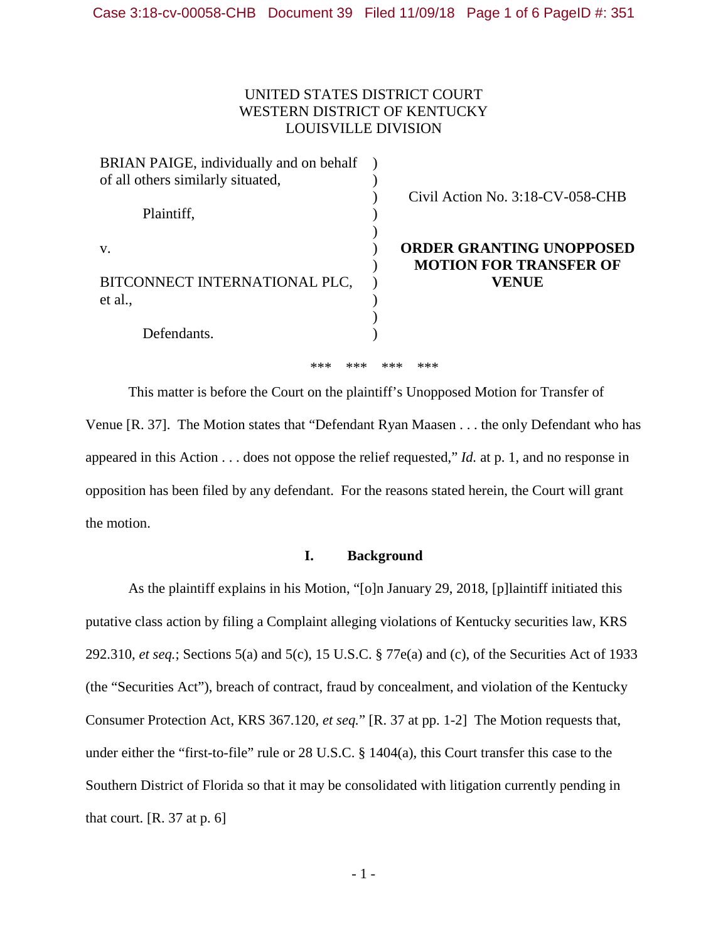# UNITED STATES DISTRICT COURT WESTERN DISTRICT OF KENTUCKY LOUISVILLE DIVISION

| BRIAN PAIGE, individually and on behalf |                                                                  |
|-----------------------------------------|------------------------------------------------------------------|
| of all others similarly situated,       |                                                                  |
| Plaintiff,                              | Civil Action No. 3:18-CV-058-CHB                                 |
| V.                                      | <b>ORDER GRANTING UNOPPOSED</b><br><b>MOTION FOR TRANSFER OF</b> |
| BITCONNECT INTERNATIONAL PLC,           | VENUE                                                            |
| et al.,                                 |                                                                  |
|                                         |                                                                  |
| Defendants.                             |                                                                  |

\*\*\* \*\*\* \*\*\* \*\*\*

This matter is before the Court on the plaintiff's Unopposed Motion for Transfer of Venue [R. 37]. The Motion states that "Defendant Ryan Maasen . . . the only Defendant who has appeared in this Action . . . does not oppose the relief requested," *Id.* at p. 1, and no response in opposition has been filed by any defendant. For the reasons stated herein, the Court will grant the motion.

# **I. Background**

As the plaintiff explains in his Motion, "[o]n January 29, 2018, [p]laintiff initiated this putative class action by filing a Complaint alleging violations of Kentucky securities law, KRS 292.310, *et seq.*; Sections 5(a) and 5(c), 15 U.S.C. § 77e(a) and (c), of the Securities Act of 1933 (the "Securities Act"), breach of contract, fraud by concealment, and violation of the Kentucky Consumer Protection Act, KRS 367.120, *et seq.*" [R. 37 at pp. 1-2] The Motion requests that, under either the "first-to-file" rule or 28 U.S.C. § 1404(a), this Court transfer this case to the Southern District of Florida so that it may be consolidated with litigation currently pending in that court.  $[R. 37 at p. 6]$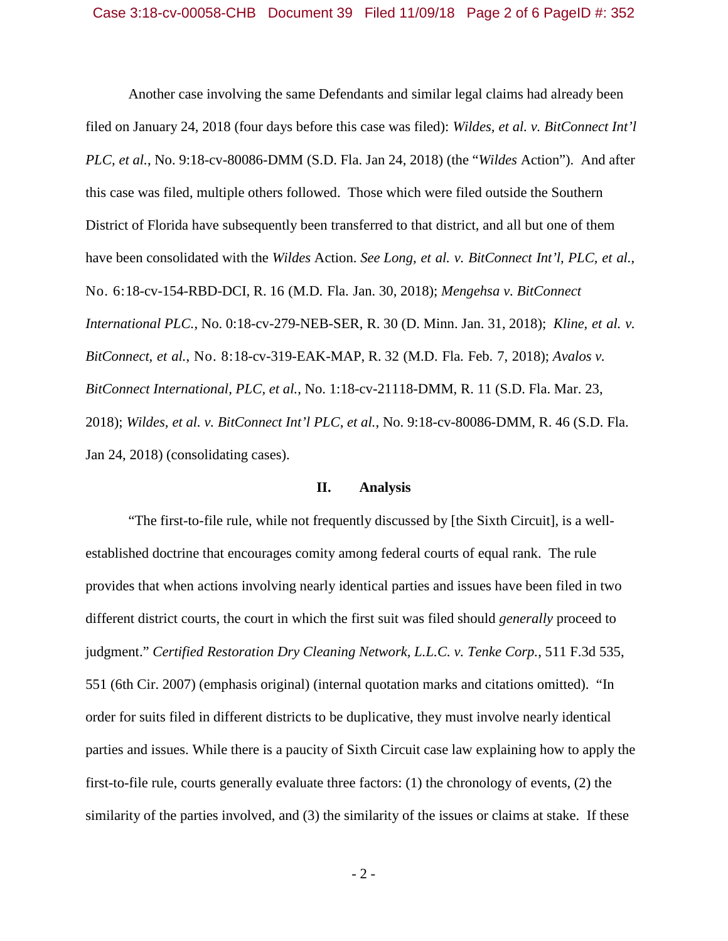Another case involving the same Defendants and similar legal claims had already been filed on January 24, 2018 (four days before this case was filed): *Wildes, et al. v. BitConnect Int'l PLC, et al.*, No. 9:18-cv-80086-DMM (S.D. Fla. Jan 24, 2018) (the "*Wildes* Action"). And after this case was filed, multiple others followed. Those which were filed outside the Southern District of Florida have subsequently been transferred to that district, and all but one of them have been consolidated with the *Wildes* Action. *See Long, et al. v. BitConnect Int'l, PLC, et al.*, No. 6:18-cv-154-RBD-DCI, R. 16 (M.D. Fla. Jan. 30, 2018); *Mengehsa v. BitConnect International PLC.*, No. 0:18-cv-279-NEB-SER, R. 30 (D. Minn. Jan. 31, 2018); *Kline, et al. v. BitConnect, et al.*, No. 8:18-cv-319-EAK-MAP, R. 32 (M.D. Fla. Feb. 7, 2018); *Avalos v. BitConnect International, PLC, et al.*, No. 1:18-cv-21118-DMM, R. 11 (S.D. Fla. Mar. 23, 2018); *Wildes, et al. v. BitConnect Int'l PLC, et al.*, No. 9:18-cv-80086-DMM, R. 46 (S.D. Fla. Jan 24, 2018) (consolidating cases).

#### **II. Analysis**

"The first-to-file rule, while not frequently discussed by [the Sixth Circuit], is a wellestablished doctrine that encourages comity among federal courts of equal rank. The rule provides that when actions involving nearly identical parties and issues have been filed in two different district courts, the court in which the first suit was filed should *generally* proceed to judgment." *Certified Restoration Dry Cleaning Network, L.L.C. v. Tenke Corp.*, 511 F.3d 535, 551 (6th Cir. 2007) (emphasis original) (internal quotation marks and citations omitted). "In order for suits filed in different districts to be duplicative, they must involve nearly identical parties and issues. While there is a paucity of Sixth Circuit case law explaining how to apply the first-to-file rule, courts generally evaluate three factors: (1) the chronology of events, (2) the similarity of the parties involved, and (3) the similarity of the issues or claims at stake. If these

- 2 -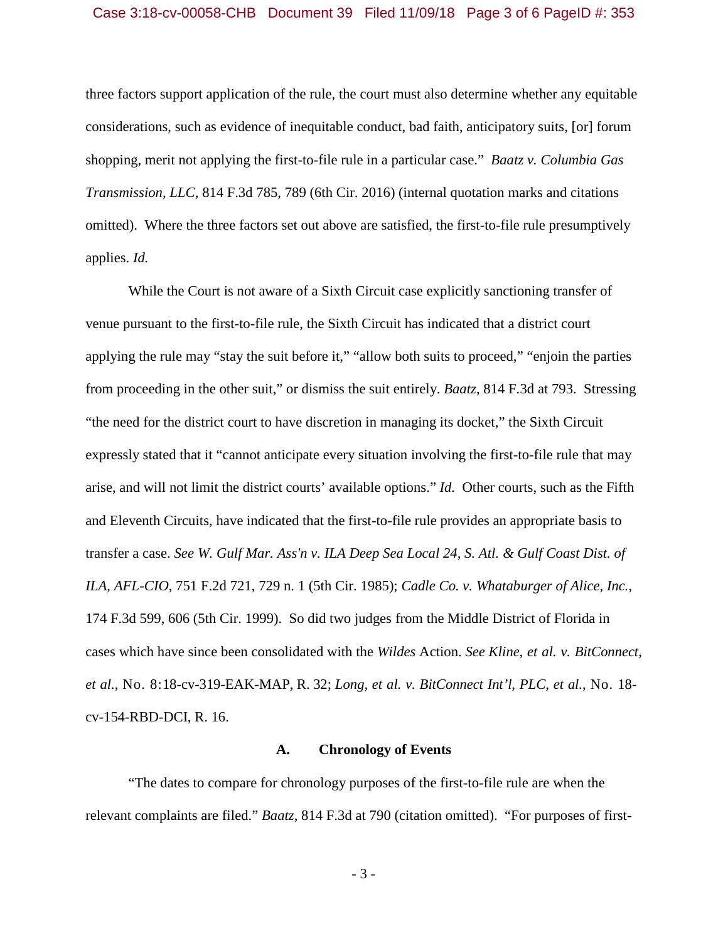#### Case 3:18-cv-00058-CHB Document 39 Filed 11/09/18 Page 3 of 6 PageID #: 353

three factors support application of the rule, the court must also determine whether any equitable considerations, such as evidence of inequitable conduct, bad faith, anticipatory suits, [or] forum shopping, merit not applying the first-to-file rule in a particular case." *Baatz v. Columbia Gas Transmission, LLC*, 814 F.3d 785, 789 (6th Cir. 2016) (internal quotation marks and citations omitted). Where the three factors set out above are satisfied, the first-to-file rule presumptively applies. *Id.*

While the Court is not aware of a Sixth Circuit case explicitly sanctioning transfer of venue pursuant to the first-to-file rule, the Sixth Circuit has indicated that a district court applying the rule may "stay the suit before it," "allow both suits to proceed," "enjoin the parties from proceeding in the other suit," or dismiss the suit entirely. *Baatz*, 814 F.3d at 793. Stressing "the need for the district court to have discretion in managing its docket," the Sixth Circuit expressly stated that it "cannot anticipate every situation involving the first-to-file rule that may arise, and will not limit the district courts' available options." *Id.* Other courts, such as the Fifth and Eleventh Circuits, have indicated that the first-to-file rule provides an appropriate basis to transfer a case. *See W. Gulf Mar. Ass'n v. ILA Deep Sea Local 24, S. Atl. & Gulf Coast Dist. of ILA, AFL-CIO*, 751 F.2d 721, 729 n. 1 (5th Cir. 1985); *Cadle Co. v. Whataburger of Alice, Inc.*, 174 F.3d 599, 606 (5th Cir. 1999). So did two judges from the Middle District of Florida in cases which have since been consolidated with the *Wildes* Action. *See Kline, et al. v. BitConnect, et al.*, No. 8:18-cv-319-EAK-MAP, R. 32; *Long, et al. v. BitConnect Int'l, PLC, et al.*, No. 18 cv-154-RBD-DCI, R. 16.

#### **A. Chronology of Events**

"The dates to compare for chronology purposes of the first-to-file rule are when the relevant complaints are filed." *Baatz*, 814 F.3d at 790 (citation omitted). "For purposes of first-

- 3 -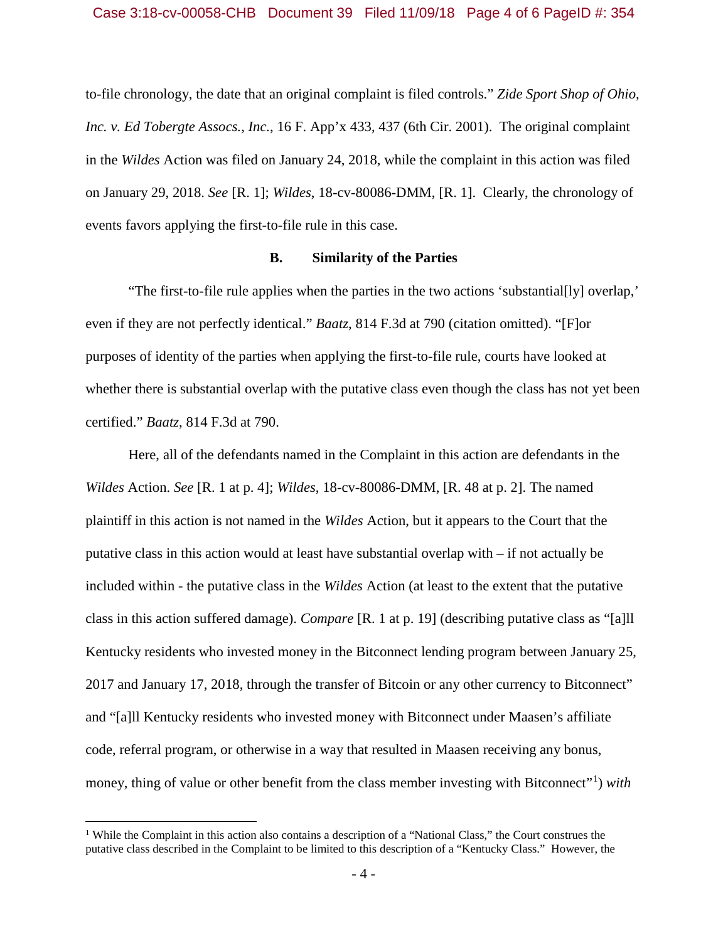to-file chronology, the date that an original complaint is filed controls." *Zide Sport Shop of Ohio, Inc. v. Ed Tobergte Assocs., Inc.*, 16 F. App'x 433, 437 (6th Cir. 2001). The original complaint in the *Wildes* Action was filed on January 24, 2018, while the complaint in this action was filed on January 29, 2018. *See* [R. 1]; *Wildes*, 18-cv-80086-DMM, [R. 1]. Clearly, the chronology of events favors applying the first-to-file rule in this case.

## **B. Similarity of the Parties**

"The first-to-file rule applies when the parties in the two actions 'substantial[ly] overlap,' even if they are not perfectly identical." *Baatz*, 814 F.3d at 790 (citation omitted). "[F]or purposes of identity of the parties when applying the first-to-file rule, courts have looked at whether there is substantial overlap with the putative class even though the class has not yet been certified." *Baatz*, 814 F.3d at 790.

Here, all of the defendants named in the Complaint in this action are defendants in the *Wildes* Action. *See* [R. 1 at p. 4]; *Wildes*, 18-cv-80086-DMM, [R. 48 at p. 2]. The named plaintiff in this action is not named in the *Wildes* Action, but it appears to the Court that the putative class in this action would at least have substantial overlap with – if not actually be included within - the putative class in the *Wildes* Action (at least to the extent that the putative class in this action suffered damage). *Compare* [R. 1 at p. 19] (describing putative class as "[a]ll Kentucky residents who invested money in the Bitconnect lending program between January 25, 2017 and January 17, 2018, through the transfer of Bitcoin or any other currency to Bitconnect" and "[a]ll Kentucky residents who invested money with Bitconnect under Maasen's affiliate code, referral program, or otherwise in a way that resulted in Maasen receiving any bonus, money, thing of value or other benefit from the class member investing with Bitconnect"<sup>1</sup>) with

<sup>&</sup>lt;sup>1</sup> While the Complaint in this action also contains a description of a "National Class," the Court construes the putative class described in the Complaint to be limited to this description of a "Kentucky Class." However, the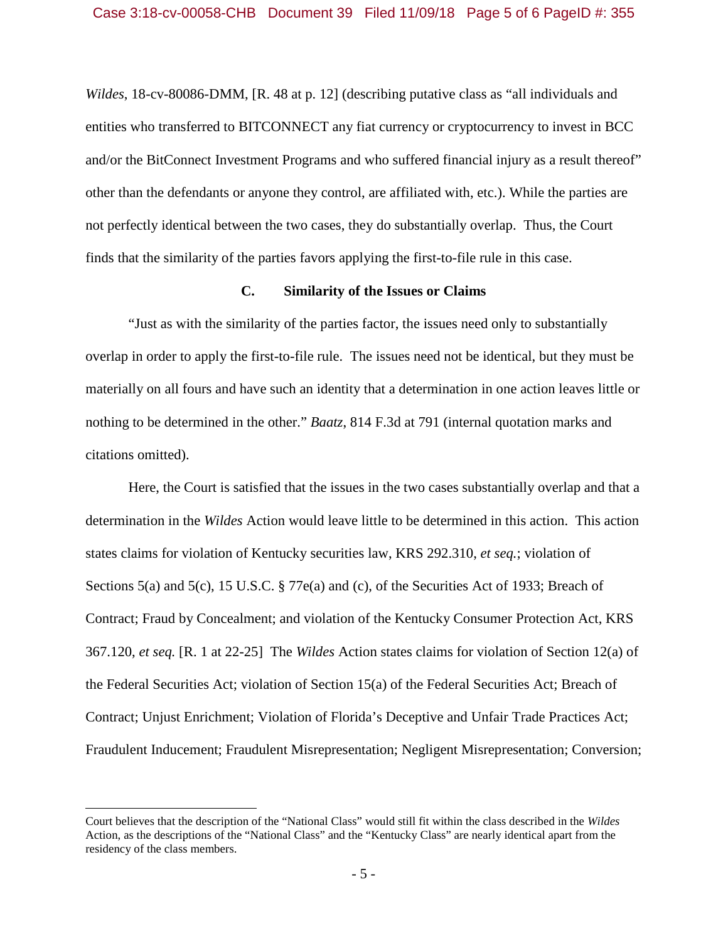*Wildes*, 18-cv-80086-DMM, [R. 48 at p. 12] (describing putative class as "all individuals and entities who transferred to BITCONNECT any fiat currency or cryptocurrency to invest in BCC and/or the BitConnect Investment Programs and who suffered financial injury as a result thereof" other than the defendants or anyone they control, are affiliated with, etc.). While the parties are not perfectly identical between the two cases, they do substantially overlap. Thus, the Court finds that the similarity of the parties favors applying the first-to-file rule in this case.

## **C. Similarity of the Issues or Claims**

"Just as with the similarity of the parties factor, the issues need only to substantially overlap in order to apply the first-to-file rule. The issues need not be identical, but they must be materially on all fours and have such an identity that a determination in one action leaves little or nothing to be determined in the other." *Baatz*, 814 F.3d at 791 (internal quotation marks and citations omitted).

Here, the Court is satisfied that the issues in the two cases substantially overlap and that a determination in the *Wildes* Action would leave little to be determined in this action. This action states claims for violation of Kentucky securities law, KRS 292.310, *et seq.*; violation of Sections 5(a) and 5(c), 15 U.S.C. § 77e(a) and (c), of the Securities Act of 1933; Breach of Contract; Fraud by Concealment; and violation of the Kentucky Consumer Protection Act, KRS 367.120, *et seq.* [R. 1 at 22-25] The *Wildes* Action states claims for violation of Section 12(a) of the Federal Securities Act; violation of Section 15(a) of the Federal Securities Act; Breach of Contract; Unjust Enrichment; Violation of Florida's Deceptive and Unfair Trade Practices Act; Fraudulent Inducement; Fraudulent Misrepresentation; Negligent Misrepresentation; Conversion;

Court believes that the description of the "National Class" would still fit within the class described in the *Wildes*  Action, as the descriptions of the "National Class" and the "Kentucky Class" are nearly identical apart from the residency of the class members.